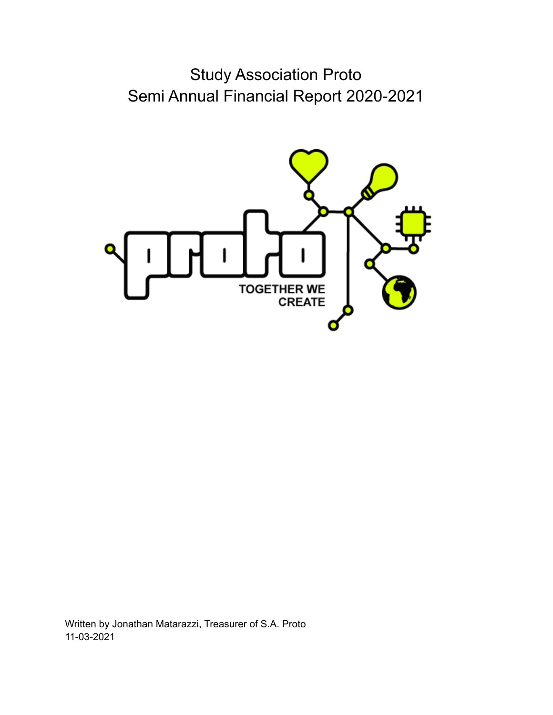Study Association Proto Semi Annual Financial Report 2020-2021



Written by Jonathan Matarazzi, Treasurer of S.A. Proto 11-03-2021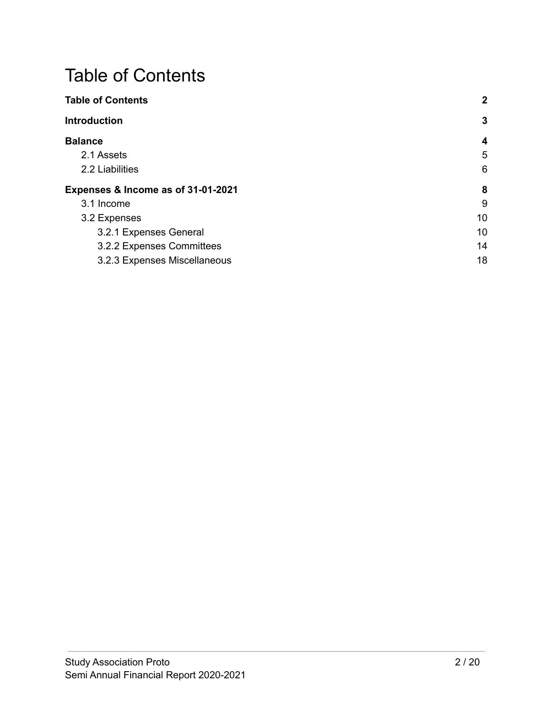# <span id="page-1-0"></span>Table of Contents

| <b>Table of Contents</b>           | $\boldsymbol{2}$ |
|------------------------------------|------------------|
| <b>Introduction</b>                | $\mathbf{3}$     |
| <b>Balance</b>                     | $\boldsymbol{4}$ |
| 2.1 Assets                         | 5                |
| 2.2 Liabilities                    | 6                |
| Expenses & Income as of 31-01-2021 | 8                |
| 3.1 Income                         | 9                |
| 3.2 Expenses                       | 10               |
| 3.2.1 Expenses General             | 10               |
| 3.2.2 Expenses Committees          | 14               |
| 3.2.3 Expenses Miscellaneous       | 18               |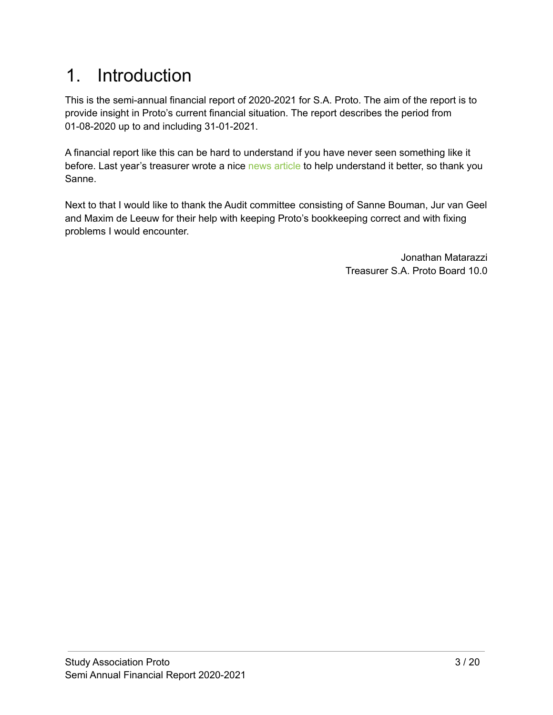# <span id="page-2-0"></span>1. Introduction

This is the semi-annual financial report of 2020-2021 for S.A. Proto. The aim of the report is to provide insight in Proto's current financial situation. The report describes the period from 01-08-2020 up to and including 31-01-2021.

A financial report like this can be hard to understand if you have never seen something like it before. Last year's treasurer wrote a nice news [article](https://www.proto.utwente.nl/news/24) to help understand it better, so thank you Sanne.

Next to that I would like to thank the Audit committee consisting of Sanne Bouman, Jur van Geel and Maxim de Leeuw for their help with keeping Proto's bookkeeping correct and with fixing problems I would encounter.

> Jonathan Matarazzi Treasurer S.A. Proto Board 10.0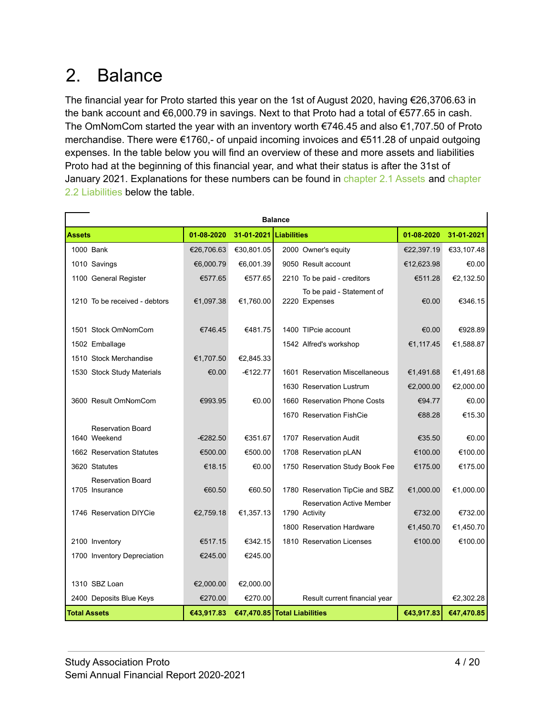# <span id="page-3-0"></span>2. Balance

The financial year for Proto started this year on the 1st of August 2020, having €26,3706.63 in the bank account and €6,000.79 in savings. Next to that Proto had a total of €577.65 in cash. The OmNomCom started the year with an inventory worth €746.45 and also €1,707.50 of Proto merchandise. There were €1760,- of unpaid incoming invoices and €511.28 of unpaid outgoing expenses. In the table below you will find an overview of these and more assets and liabilities Proto had at the beginning of this financial year, and what their status is after the 31st of January 2021. Explanations for these numbers can be found in [chapter](#page-5-0) 2.1 Assets and chapter 2.2 [Liabilities](#page-5-0) below the table.

| <b>Balance</b>                           |            |                        |                                                   |            |            |  |
|------------------------------------------|------------|------------------------|---------------------------------------------------|------------|------------|--|
| <b>Assets</b>                            | 01-08-2020 | 31-01-2021 Liabilities |                                                   | 01-08-2020 | 31-01-2021 |  |
| 1000 Bank                                | €26,706.63 | €30,801.05             | 2000 Owner's equity                               | €22,397.19 | €33,107.48 |  |
| 1010 Savings                             | €6,000.79  | €6,001.39              | 9050 Result account                               | €12,623.98 | €0.00      |  |
| 1100 General Register                    | €577.65    | €577.65                | 2210 To be paid - creditors                       | €511.28    | €2,132.50  |  |
| 1210 To be received - debtors            | €1,097.38  | €1,760.00              | To be paid - Statement of<br>2220 Expenses        | €0.00      | €346.15    |  |
| 1501 Stock OmNomCom                      | €746.45    | €481.75                | 1400 TIPcie account                               | €0.00      | €928.89    |  |
| 1502 Emballage                           |            |                        | 1542 Alfred's workshop                            | €1,117.45  | €1,588.87  |  |
| 1510 Stock Merchandise                   | €1,707.50  | €2,845.33              |                                                   |            |            |  |
| 1530 Stock Study Materials               | €0.00      | $-6122.77$             | 1601 Reservation Miscellaneous                    | €1,491.68  | €1,491.68  |  |
|                                          |            |                        | 1630 Reservation Lustrum                          | €2,000.00  | €2,000.00  |  |
| 3600 Result OmNomCom                     | €993.95    | €0.00                  | 1660 Reservation Phone Costs                      | €94.77     | €0.00      |  |
|                                          |            |                        | 1670 Reservation FishCie                          | €88.28     | €15.30     |  |
| <b>Reservation Board</b><br>1640 Weekend | $-6282.50$ | €351.67                | 1707 Reservation Audit                            | €35.50     | €0.00      |  |
| 1662 Reservation Statutes                | €500.00    | €500.00                | 1708 Reservation pLAN                             | €100.00    | €100.00    |  |
| 3620 Statutes                            | €18.15     | €0.00                  | 1750 Reservation Study Book Fee                   | €175.00    | €175.00    |  |
| <b>Reservation Board</b>                 |            |                        |                                                   |            |            |  |
| 1705 Insurance                           | €60.50     | €60.50                 | 1780 Reservation TipCie and SBZ                   | €1,000.00  | €1,000.00  |  |
| 1746 Reservation DIYCie                  | €2,759.18  | €1,357.13              | <b>Reservation Active Member</b><br>1790 Activity | €732.00    | €732.00    |  |
|                                          |            |                        | 1800 Reservation Hardware                         | €1,450.70  | €1,450.70  |  |
| 2100 Inventory                           | €517.15    | €342.15                | 1810 Reservation Licenses                         | €100.00    | €100.00    |  |
| 1700 Inventory Depreciation              | €245.00    | €245.00                |                                                   |            |            |  |
|                                          |            |                        |                                                   |            |            |  |
| 1310 SBZ Loan                            | €2,000.00  | €2,000.00              |                                                   |            |            |  |
| 2400 Deposits Blue Keys                  | €270.00    | €270.00                | Result current financial year                     |            | €2,302.28  |  |
| <b>Total Assets</b>                      | €43,917.83 |                        | €47,470.85 Total Liabilities                      | €43,917.83 | €47,470.85 |  |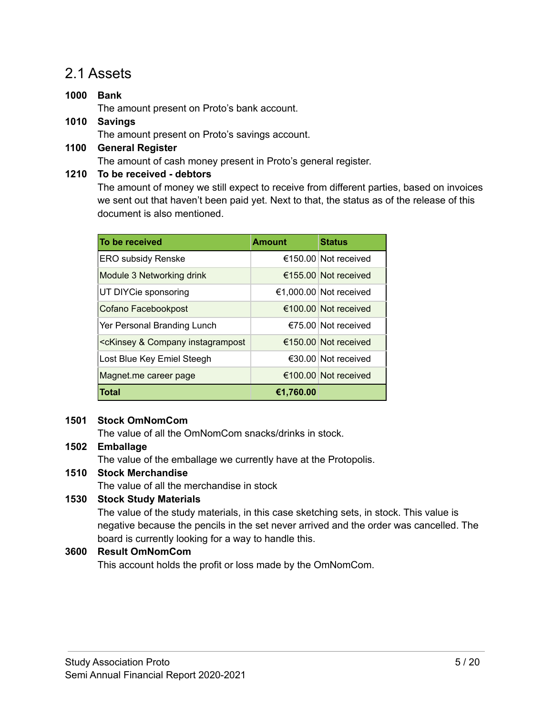### <span id="page-4-0"></span>2.1 Assets

- **1000 Bank** The amount present on Proto's bank account. **1010 Savings**
	- The amount present on Proto's savings account.
- **1100 General Register** The amount of cash money present in Proto's general register.

#### **1210 To be received - debtors**

The amount of money we still expect to receive from different parties, based on invoices we sent out that haven't been paid yet. Next to that, the status as of the release of this document is also mentioned.

| To be received                                                                                                        | <b>Amount</b> | <b>Status</b>                  |
|-----------------------------------------------------------------------------------------------------------------------|---------------|--------------------------------|
| <b>ERO subsidy Renske</b>                                                                                             |               | $\epsilon$ 150.00 Not received |
| Module 3 Networking drink                                                                                             |               | €155.00 Not received           |
| UT DIYCie sponsoring                                                                                                  |               | €1,000.00 Not received         |
| Cofano Facebookpost                                                                                                   |               | €100.00 Not received           |
| Yer Personal Branding Lunch                                                                                           |               | $\epsilon$ 75.00 Not received  |
| <ckinsey &="" company="" instagrampost<="" td=""><td></td><td><math>\epsilon</math>150.00 Not received</td></ckinsey> |               | $\epsilon$ 150.00 Not received |
| Lost Blue Key Emiel Steegh                                                                                            |               | $\epsilon$ 30.00 Not received  |
| Magnet.me career page                                                                                                 |               | $\epsilon$ 100.00 Not received |
| <b>Total</b>                                                                                                          | €1,760.00     |                                |

#### **1501 Stock OmNomCom**

The value of all the OmNomCom snacks/drinks in stock.

#### **1502 Emballage**

The value of the emballage we currently have at the Protopolis.

#### **1510 Stock Merchandise**

The value of all the merchandise in stock

#### **1530 Stock Study Materials**

The value of the study materials, in this case sketching sets, in stock. This value is negative because the pencils in the set never arrived and the order was cancelled. The board is currently looking for a way to handle this.

#### **3600 Result OmNomCom**

This account holds the profit or loss made by the OmNomCom.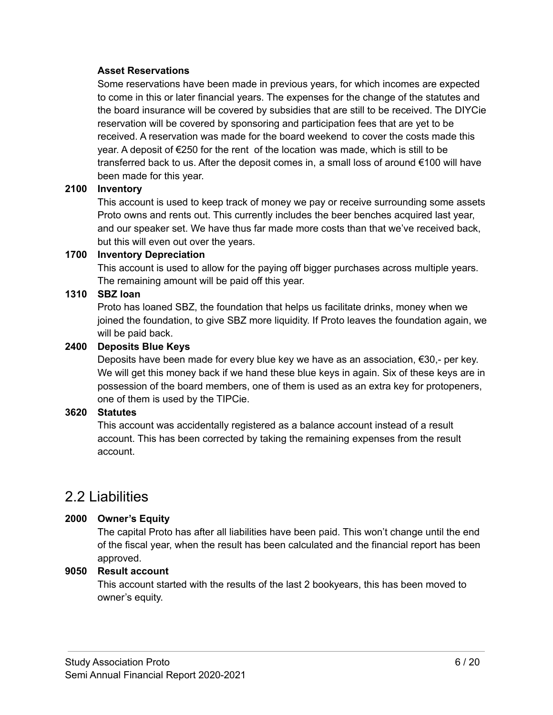#### **Asset Reservations**

Some reservations have been made in previous years, for which incomes are expected to come in this or later financial years. The expenses for the change of the statutes and the board insurance will be covered by subsidies that are still to be received. The DIYCie reservation will be covered by sponsoring and participation fees that are yet to be received. A reservation was made for the board weekend to cover the costs made this year. A deposit of €250 for the rent of the location was made, which is still to be transferred back to us. After the deposit comes in, a small loss of around €100 will have been made for this year.

#### **2100 Inventory**

This account is used to keep track of money we pay or receive surrounding some assets Proto owns and rents out. This currently includes the beer benches acquired last year, and our speaker set. We have thus far made more costs than that we've received back, but this will even out over the years.

#### **1700 Inventory Depreciation**

This account is used to allow for the paying off bigger purchases across multiple years. The remaining amount will be paid off this year.

#### **1310 SBZ loan**

Proto has loaned SBZ, the foundation that helps us facilitate drinks, money when we joined the foundation, to give SBZ more liquidity. If Proto leaves the foundation again, we will be paid back.

#### **2400 Deposits Blue Keys**

Deposits have been made for every blue key we have as an association, €30,- per key. We will get this money back if we hand these blue keys in again. Six of these keys are in possession of the board members, one of them is used as an extra key for protopeners, one of them is used by the TIPCie.

#### **3620 Statutes**

This account was accidentally registered as a balance account instead of a result account. This has been corrected by taking the remaining expenses from the result account.

### <span id="page-5-0"></span>2.2 Liabilities

#### **2000 Owner's Equity**

The capital Proto has after all liabilities have been paid. This won't change until the end of the fiscal year, when the result has been calculated and the financial report has been approved.

#### **9050 Result account**

This account started with the results of the last 2 bookyears, this has been moved to owner's equity.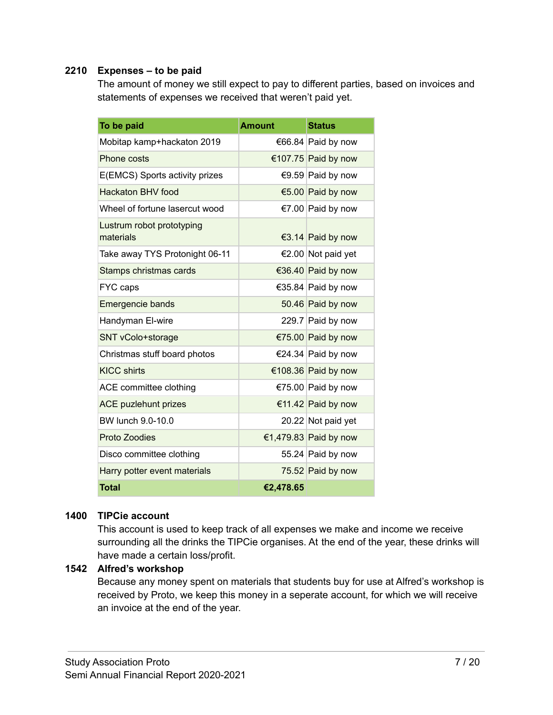#### **2210 Expenses – to be paid**

The amount of money we still expect to pay to different parties, based on invoices and statements of expenses we received that weren't paid yet.

| To be paid                             | <b>Amount</b> | <b>Status</b>         |
|----------------------------------------|---------------|-----------------------|
| Mobitap kamp+hackaton 2019             |               | €66.84 Paid by now    |
| Phone costs                            |               | €107.75 Paid by now   |
| E(EMCS) Sports activity prizes         |               | €9.59 Paid by now     |
| <b>Hackaton BHV food</b>               |               | €5.00 Paid by now     |
| Wheel of fortune lasercut wood         |               | €7.00 Paid by now     |
| Lustrum robot prototyping<br>materials |               | €3.14 Paid by now     |
| Take away TYS Protonight 06-11         |               | €2.00 Not paid yet    |
| Stamps christmas cards                 |               | €36.40 Paid by now    |
| FYC caps                               |               | €35.84 Paid by now    |
| Emergencie bands                       |               | 50.46 Paid by now     |
| Handyman El-wire                       |               | 229.7 Paid by now     |
| SNT vColo+storage                      |               | €75.00 Paid by now    |
| Christmas stuff board photos           |               | €24.34 Paid by now    |
| <b>KICC shirts</b>                     |               | €108.36 Paid by now   |
| ACE committee clothing                 |               | €75.00 Paid by now    |
| <b>ACE puzlehunt prizes</b>            |               | €11.42 Paid by now    |
| BW lunch 9.0-10.0                      |               | 20.22 Not paid yet    |
| <b>Proto Zoodies</b>                   |               | €1,479.83 Paid by now |
| Disco committee clothing               |               | 55.24 Paid by now     |
| Harry potter event materials           |               | 75.52 Paid by now     |
| <b>Total</b>                           | €2,478.65     |                       |

#### **1400 TIPCie account**

This account is used to keep track of all expenses we make and income we receive surrounding all the drinks the TIPCie organises. At the end of the year, these drinks will have made a certain loss/profit.

#### **1542 Alfred's workshop**

Because any money spent on materials that students buy for use at Alfred's workshop is received by Proto, we keep this money in a seperate account, for which we will receive an invoice at the end of the year.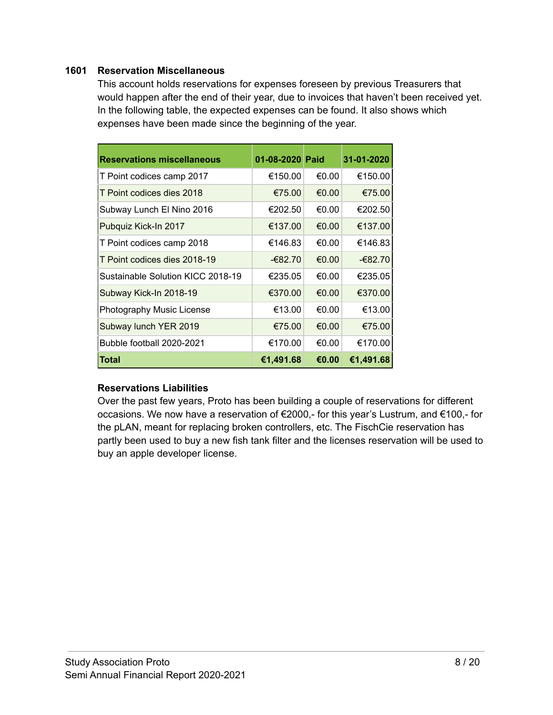#### **1601 Reservation Miscellaneous**

This account holds reservations for expenses foreseen by previous Treasurers that would happen after the end of their year, due to invoices that haven't been received yet. In the following table, the expected expenses can be found. It also shows which expenses have been made since the beginning of the year.

| <b>Reservations miscellaneous</b> | 01-08-2020 Paid |       | 31-01-2020 |
|-----------------------------------|-----------------|-------|------------|
| T Point codices camp 2017         | €150.00         | €0.00 | €150.00    |
| T Point codices dies 2018         | €75.00          | €0.00 | €75.00     |
| Subway Lunch El Nino 2016         | €202.50         | €0.00 | €202.50    |
| Pubquiz Kick-In 2017              | €137.00         | €0.00 | €137.00    |
| T Point codices camp 2018         | €146.83         | €0.00 | €146.83    |
| T Point codices dies 2018-19      | -€82.70         | €0.00 | $-682.70$  |
| Sustainable Solution KICC 2018-19 | €235.05         | €0.00 | €235.05    |
| Subway Kick-In 2018-19            | €370.00         | €0.00 | €370.00    |
| Photography Music License         | €13.00          | €0.00 | €13.00     |
| Subway lunch YER 2019             | €75.00          | €0.00 | €75.00     |
| Bubble football 2020-2021         | €170.00         | €0.00 | €170.00    |
| Total                             | €1,491.68       | €0.00 | €1,491.68  |

#### **Reservations Liabilities**

Over the past few years, Proto has been building a couple of reservations for different occasions. We now have a reservation of €2000,- for this year's Lustrum, and €100,- for the pLAN, meant for replacing broken controllers, etc. The FischCie reservation has partly been used to buy a new fish tank filter and the licenses reservation will be used to buy an apple developer license.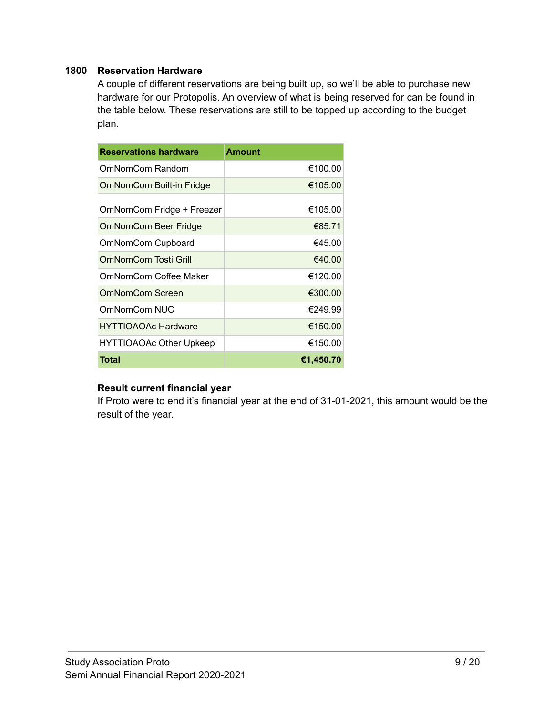#### **1800 Reservation Hardware**

A couple of different reservations are being built up, so we'll be able to purchase new hardware for our Protopolis. An overview of what is being reserved for can be found in the table below. These reservations are still to be topped up according to the budget plan.

| <b>Reservations hardware</b>   | <b>Amount</b> |
|--------------------------------|---------------|
| OmNomCom Random                | €100.00       |
| OmNomCom Built-in Fridge       | €105.00       |
| OmNomCom Fridge + Freezer      | €105.00       |
| <b>OmNomCom Beer Fridge</b>    | €85.71        |
| OmNomCom Cupboard              | €45.00        |
| OmNomCom Tosti Grill           | €40.00        |
| OmNomCom Coffee Maker          | €120.00       |
| OmNomCom Screen                | €300.00       |
| OmNomCom NUC                   | €249.99       |
| <b>HYTTIOAOAc Hardware</b>     | €150.00       |
| <b>HYTTIOAOAc Other Upkeep</b> | €150.00       |
| Total                          | €1,450.70     |

#### **Result current financial year**

If Proto were to end it's financial year at the end of 31-01-2021, this amount would be the result of the year.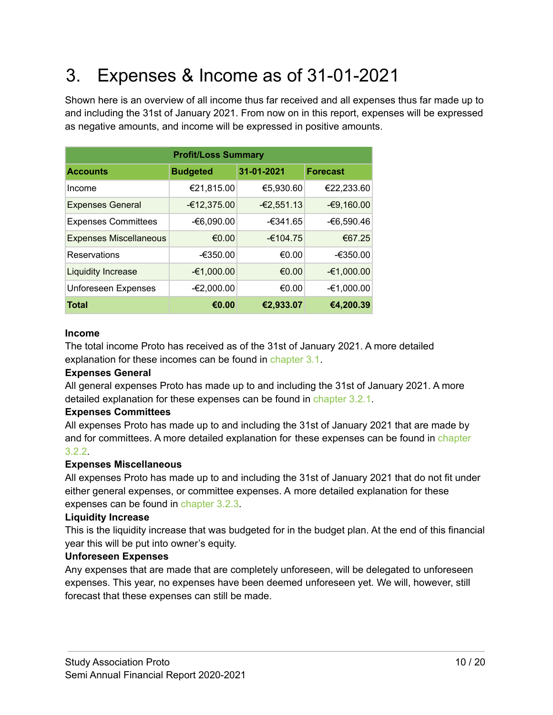# <span id="page-9-0"></span>3. Expenses & Income as of 31-01-2021

Shown here is an overview of all income thus far received and all expenses thus far made up to and including the 31st of January 2021. From now on in this report, expenses will be expressed as negative amounts, and income will be expressed in positive amounts.

| <b>Profit/Loss Summary</b>    |                 |              |                 |  |  |
|-------------------------------|-----------------|--------------|-----------------|--|--|
| <b>Accounts</b>               | <b>Budgeted</b> | 31-01-2021   | <b>Forecast</b> |  |  |
| Income                        | €21,815.00      | €5,930.60    | €22,233.60      |  |  |
| <b>Expenses General</b>       | $-£12,375.00$   | $-62,551.13$ | $-69,160.00$    |  |  |
| <b>Expenses Committees</b>    | -€6,090.00      | $-6341.65$   | -€6,590.46      |  |  |
| <b>Expenses Miscellaneous</b> | €0.00           | $-6104.75$   | €67.25          |  |  |
| Reservations                  | $-6350.00$      | €0.00        | $-€350.00$      |  |  |
| <b>Liquidity Increase</b>     | -€1,000.00      | €0.00        | -€1,000.00      |  |  |
| <b>Unforeseen Expenses</b>    | -€2,000.00      | €0.00        | -€1,000.00      |  |  |
| <b>Total</b>                  | €0.00           | €2,933.07    | €4,200.39       |  |  |

#### **Income**

The total income Proto has received as of the 31st of January 2021. A more detailed explanation for these incomes can be found in [chapter](#page-10-0) 3.1.

#### **Expenses General**

All general expenses Proto has made up to and including the 31st of January 2021. A more detailed explanation for these expenses can be found in [chapter](#page-11-1) 3.2.1.

#### **Expenses Committees**

All expenses Proto has made up to and including the 31st of January 2021 that are made by and for committees. A more detailed explanation for these expenses can be found in [chapter](#page-15-0) [3.2.2](#page-15-0).

#### **Expenses Miscellaneous**

All expenses Proto has made up to and including the 31st of January 2021 that do not fit under either general expenses, or committee expenses. A more detailed explanation for these expenses can be found in [chapter](#page-19-0) 3.2.3.

#### **Liquidity Increase**

This is the liquidity increase that was budgeted for in the budget plan. At the end of this financial year this will be put into owner's equity.

#### **Unforeseen Expenses**

Any expenses that are made that are completely unforeseen, will be delegated to unforeseen expenses. This year, no expenses have been deemed unforeseen yet. We will, however, still forecast that these expenses can still be made.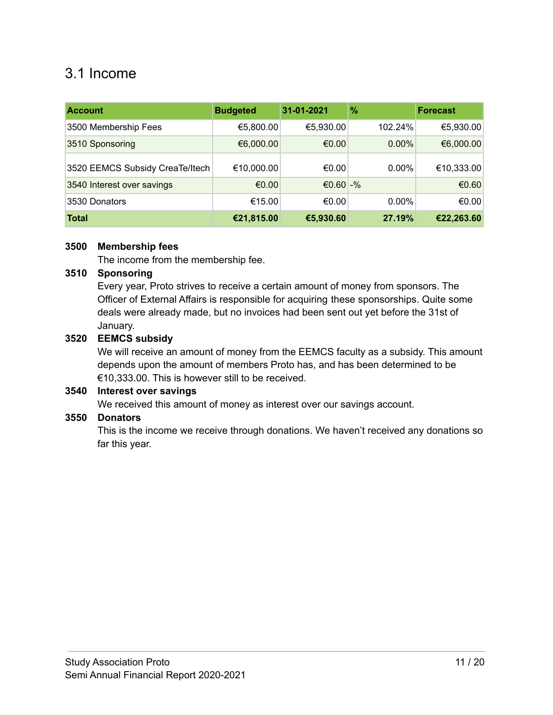## <span id="page-10-0"></span>3.1 Income

| <b>Account</b>                  | <b>Budgeted</b> | 31-01-2021  | $\frac{9}{6}$ | <b>Forecast</b> |
|---------------------------------|-----------------|-------------|---------------|-----------------|
| 3500 Membership Fees            | €5,800.00       | €5,930.00   | 102.24%       | €5,930.00       |
| 3510 Sponsoring                 | €6,000.00       | €0.00       | $0.00\%$      | €6,000.00       |
| 3520 EEMCS Subsidy CreaTe/Itech | €10,000.00      | €0.00       | $0.00\%$      | €10,333.00      |
| 3540 Interest over savings      | €0.00           | €0.60 $-$ % |               | €0.60           |
| 3530 Donators                   | €15.00          | €0.00       | $0.00\%$      | €0.00           |
| <b>Total</b>                    | €21,815.00      | €5,930.60   | 27.19%        | €22,263.60      |

#### **3500 Membership fees**

The income from the membership fee.

#### **3510 Sponsoring**

Every year, Proto strives to receive a certain amount of money from sponsors. The Officer of External Affairs is responsible for acquiring these sponsorships. Quite some deals were already made, but no invoices had been sent out yet before the 31st of January.

#### **3520 EEMCS subsidy**

We will receive an amount of money from the EEMCS faculty as a subsidy. This amount depends upon the amount of members Proto has, and has been determined to be €10,333.00. This is however still to be received.

#### **3540 Interest over savings**

We received this amount of money as interest over our savings account.

#### **3550 Donators**

This is the income we receive through donations. We haven't received any donations so far this year.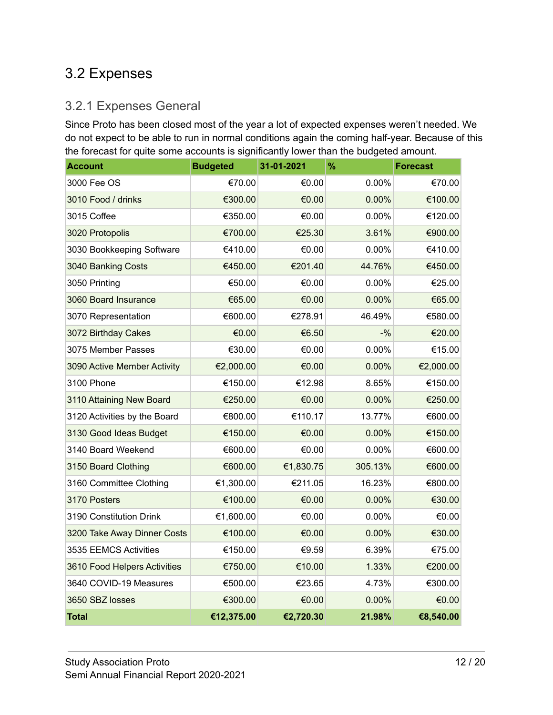## <span id="page-11-0"></span>3.2 Expenses

### <span id="page-11-1"></span>3.2.1 Expenses General

Since Proto has been closed most of the year a lot of expected expenses weren't needed. We do not expect to be able to run in normal conditions again the coming half-year. Because of this the forecast for quite some accounts is significantly lower than the budgeted amount.

| <b>Account</b>               | <b>Budgeted</b> | 31-01-2021 | $\frac{9}{6}$ | <b>Forecast</b> |
|------------------------------|-----------------|------------|---------------|-----------------|
| 3000 Fee OS                  | €70.00          | €0.00      | 0.00%         | €70.00          |
| 3010 Food / drinks           | €300.00         | €0.00      | 0.00%         | €100.00         |
| 3015 Coffee                  | €350.00         | €0.00      | 0.00%         | €120.00         |
| 3020 Protopolis              | €700.00         | €25.30     | 3.61%         | €900.00         |
| 3030 Bookkeeping Software    | €410.00         | €0.00      | 0.00%         | €410.00         |
| 3040 Banking Costs           | €450.00         | €201.40    | 44.76%        | €450.00         |
| 3050 Printing                | €50.00          | €0.00      | 0.00%         | €25.00          |
| 3060 Board Insurance         | €65.00          | €0.00      | 0.00%         | €65.00          |
| 3070 Representation          | €600.00         | €278.91    | 46.49%        | €580.00         |
| 3072 Birthday Cakes          | €0.00           | €6.50      | $-9/6$        | €20.00          |
| 3075 Member Passes           | €30.00          | €0.00      | 0.00%         | €15.00          |
| 3090 Active Member Activity  | €2,000.00       | €0.00      | 0.00%         | €2,000.00       |
| 3100 Phone                   | €150.00         | €12.98     | 8.65%         | €150.00         |
| 3110 Attaining New Board     | €250.00         | €0.00      | 0.00%         | €250.00         |
| 3120 Activities by the Board | €800.00         | €110.17    | 13.77%        | €600.00         |
| 3130 Good Ideas Budget       | €150.00         | €0.00      | 0.00%         | €150.00         |
| 3140 Board Weekend           | €600.00         | €0.00      | 0.00%         | €600.00         |
| 3150 Board Clothing          | €600.00         | €1,830.75  | 305.13%       | €600.00         |
| 3160 Committee Clothing      | €1,300.00       | €211.05    | 16.23%        | €800.00         |
| 3170 Posters                 | €100.00         | €0.00      | 0.00%         | €30.00          |
| 3190 Constitution Drink      | €1,600.00       | €0.00      | 0.00%         | €0.00           |
| 3200 Take Away Dinner Costs  | €100.00         | €0.00      | 0.00%         | €30.00          |
| 3535 EEMCS Activities        | €150.00         | €9.59      | 6.39%         | €75.00          |
| 3610 Food Helpers Activities | €750.00         | €10.00     | 1.33%         | €200.00         |
| 3640 COVID-19 Measures       | €500.00         | €23.65     | 4.73%         | €300.00         |
| 3650 SBZ losses              | €300.00         | €0.00      | 0.00%         | €0.00           |
| <b>Total</b>                 | €12,375.00      | €2,720.30  | 21.98%        | €8,540.00       |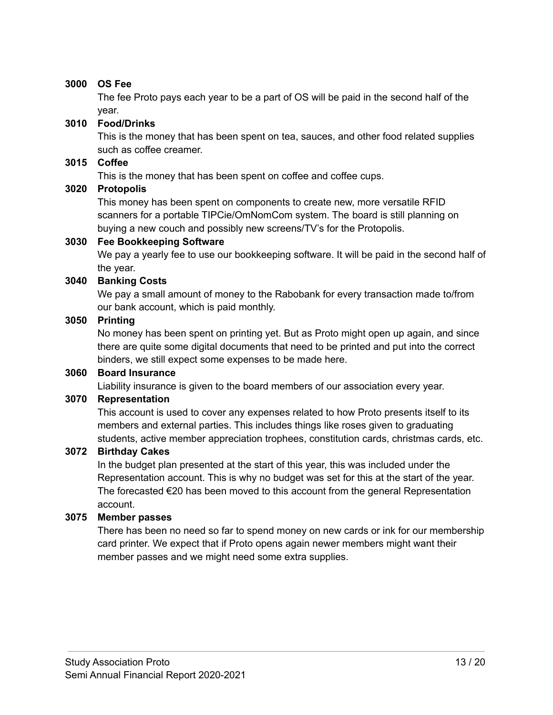#### **3000 OS Fee**

The fee Proto pays each year to be a part of OS will be paid in the second half of the year.

#### **3010 Food/Drinks**

This is the money that has been spent on tea, sauces, and other food related supplies such as coffee creamer.

#### **3015 Coffee**

This is the money that has been spent on coffee and coffee cups.

#### **3020 Protopolis**

This money has been spent on components to create new, more versatile RFID scanners for a portable TIPCie/OmNomCom system. The board is still planning on buying a new couch and possibly new screens/TV's for the Protopolis.

#### **3030 Fee Bookkeeping Software**

We pay a yearly fee to use our bookkeeping software. It will be paid in the second half of the year.

#### **3040 Banking Costs**

We pay a small amount of money to the Rabobank for every transaction made to/from our bank account, which is paid monthly.

#### **3050 Printing**

No money has been spent on printing yet. But as Proto might open up again, and since there are quite some digital documents that need to be printed and put into the correct binders, we still expect some expenses to be made here.

#### **3060 Board Insurance**

Liability insurance is given to the board members of our association every year.

#### **3070 Representation**

This account is used to cover any expenses related to how Proto presents itself to its members and external parties. This includes things like roses given to graduating students, active member appreciation trophees, constitution cards, christmas cards, etc.

#### **3072 Birthday Cakes**

In the budget plan presented at the start of this year, this was included under the Representation account. This is why no budget was set for this at the start of the year. The forecasted  $\epsilon$ 20 has been moved to this account from the general Representation account.

#### **3075 Member passes**

There has been no need so far to spend money on new cards or ink for our membership card printer. We expect that if Proto opens again newer members might want their member passes and we might need some extra supplies.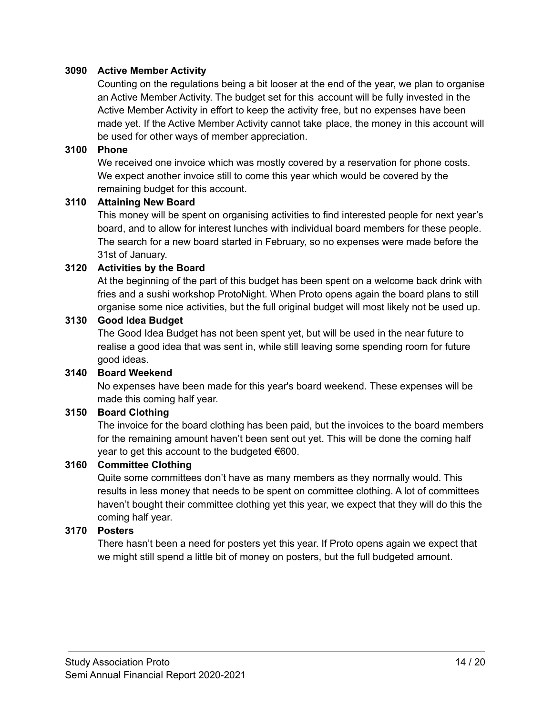#### **3090 Active Member Activity**

Counting on the regulations being a bit looser at the end of the year, we plan to organise an Active Member Activity. The budget set for this account will be fully invested in the Active Member Activity in effort to keep the activity free, but no expenses have been made yet. If the Active Member Activity cannot take place, the money in this account will be used for other ways of member appreciation.

#### **3100 Phone**

We received one invoice which was mostly covered by a reservation for phone costs. We expect another invoice still to come this year which would be covered by the remaining budget for this account.

#### **3110 Attaining New Board**

This money will be spent on organising activities to find interested people for next year's board, and to allow for interest lunches with individual board members for these people. The search for a new board started in February, so no expenses were made before the 31st of January.

#### **3120 Activities by the Board**

At the beginning of the part of this budget has been spent on a welcome back drink with fries and a sushi workshop ProtoNight. When Proto opens again the board plans to still organise some nice activities, but the full original budget will most likely not be used up.

#### **3130 Good Idea Budget**

The Good Idea Budget has not been spent yet, but will be used in the near future to realise a good idea that was sent in, while still leaving some spending room for future good ideas.

#### **3140 Board Weekend**

No expenses have been made for this year's board weekend. These expenses will be made this coming half year.

#### **3150 Board Clothing**

The invoice for the board clothing has been paid, but the invoices to the board members for the remaining amount haven't been sent out yet. This will be done the coming half year to get this account to the budgeted €600.

#### **3160 Committee Clothing**

Quite some committees don't have as many members as they normally would. This results in less money that needs to be spent on committee clothing. A lot of committees haven't bought their committee clothing yet this year, we expect that they will do this the coming half year.

#### **3170 Posters**

There hasn't been a need for posters yet this year. If Proto opens again we expect that we might still spend a little bit of money on posters, but the full budgeted amount.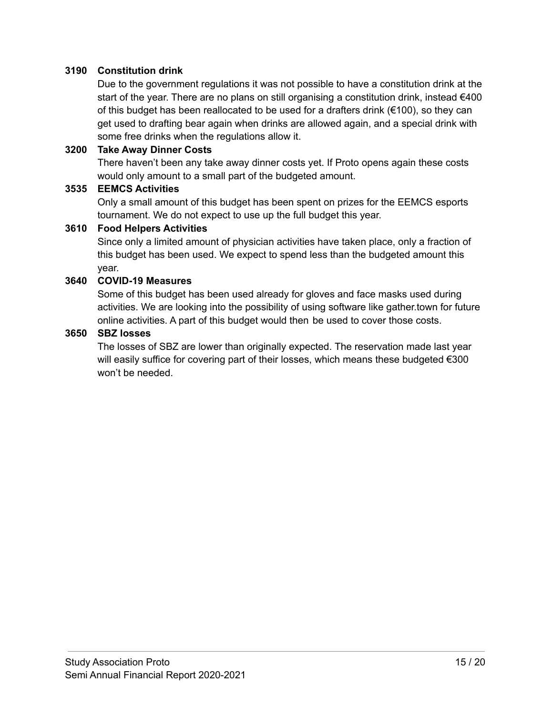#### **3190 Constitution drink**

Due to the government regulations it was not possible to have a constitution drink at the start of the year. There are no plans on still organising a constitution drink, instead  $€400$ of this budget has been reallocated to be used for a drafters drink  $(€100)$ , so they can get used to drafting bear again when drinks are allowed again, and a special drink with some free drinks when the regulations allow it.

#### **3200 Take Away Dinner Costs**

There haven't been any take away dinner costs yet. If Proto opens again these costs would only amount to a small part of the budgeted amount.

#### **3535 EEMCS Activities**

Only a small amount of this budget has been spent on prizes for the EEMCS esports tournament. We do not expect to use up the full budget this year.

#### **3610 Food Helpers Activities**

Since only a limited amount of physician activities have taken place, only a fraction of this budget has been used. We expect to spend less than the budgeted amount this year.

#### **3640 COVID-19 Measures**

Some of this budget has been used already for gloves and face masks used during activities. We are looking into the possibility of using software like gather.town for future online activities. A part of this budget would then be used to cover those costs.

#### **3650 SBZ losses**

The losses of SBZ are lower than originally expected. The reservation made last year will easily suffice for covering part of their losses, which means these budgeted €300 won't be needed.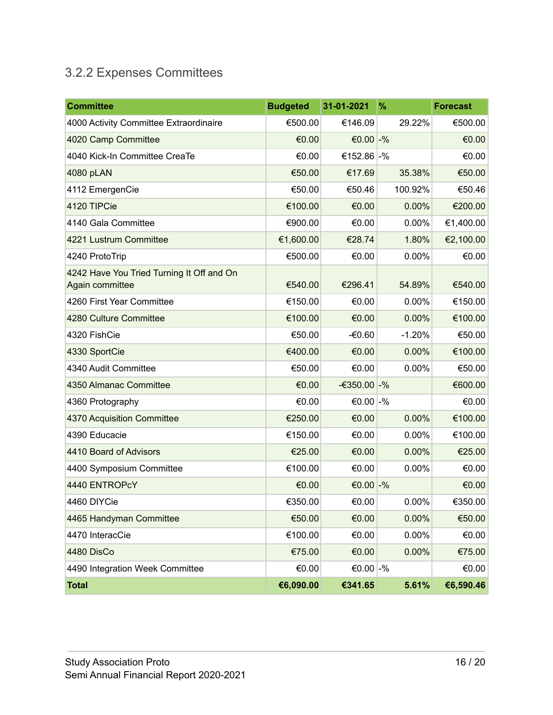## <span id="page-15-0"></span>3.2.2 Expenses Committees

| <b>Committee</b>                                             | <b>Budgeted</b> | 31-01-2021     | %        | <b>Forecast</b> |
|--------------------------------------------------------------|-----------------|----------------|----------|-----------------|
| 4000 Activity Committee Extraordinaire                       | €500.00         | €146.09        | 29.22%   | €500.00         |
| 4020 Camp Committee                                          | €0.00           | €0.00 $-$ %    |          | €0.00           |
| 4040 Kick-In Committee CreaTe                                | €0.00           | €152.86 -%     |          | €0.00           |
| 4080 pLAN                                                    | €50.00          | €17.69         | 35.38%   | €50.00          |
| 4112 EmergenCie                                              | €50.00          | €50.46         | 100.92%  | €50.46          |
| 4120 TIPCie                                                  | €100.00         | €0.00          | 0.00%    | €200.00         |
| 4140 Gala Committee                                          | €900.00         | €0.00          | 0.00%    | €1,400.00       |
| 4221 Lustrum Committee                                       | €1,600.00       | €28.74         | 1.80%    | €2,100.00       |
| 4240 ProtoTrip                                               | €500.00         | €0.00          | 0.00%    | €0.00           |
| 4242 Have You Tried Turning It Off and On<br>Again committee | €540.00         | €296.41        | 54.89%   | €540.00         |
| 4260 First Year Committee                                    | €150.00         | €0.00          | 0.00%    | €150.00         |
| 4280 Culture Committee                                       | €100.00         | €0.00          | 0.00%    | €100.00         |
| 4320 FishCie                                                 | €50.00          | $-60.60$       | $-1.20%$ | €50.00          |
| 4330 SportCie                                                | €400.00         | €0.00          | 0.00%    | €100.00         |
| 4340 Audit Committee                                         | €50.00          | €0.00          | 0.00%    | €50.00          |
| 4350 Almanac Committee                                       | €0.00           | $-6350.00 - %$ |          | €600.00         |
| 4360 Protography                                             | €0.00           | €0.00 $-$ %    |          | €0.00           |
| 4370 Acquisition Committee                                   | €250.00         | €0.00          | 0.00%    | €100.00         |
| 4390 Educacie                                                | €150.00         | €0.00          | 0.00%    | €100.00         |
| 4410 Board of Advisors                                       | €25.00          | €0.00          | 0.00%    | €25.00          |
| 4400 Symposium Committee                                     | €100.00         | €0.00          | 0.00%    | €0.00           |
| 4440 ENTROPcY                                                | €0.00           | €0.00 $-$ %    |          | €0.00           |
| 4460 DIYCie                                                  | €350.00         | €0.00          | 0.00%    | €350.00         |
| 4465 Handyman Committee                                      | €50.00          | €0.00          | 0.00%    | €50.00          |
| 4470 InteracCie                                              | €100.00         | €0.00          | 0.00%    | €0.00           |
| 4480 DisCo                                                   | €75.00          | €0.00          | 0.00%    | €75.00          |
| 4490 Integration Week Committee                              | €0.00           | €0.00 -%       |          | €0.00           |
| <b>Total</b>                                                 | €6,090.00       | €341.65        | 5.61%    | €6,590.46       |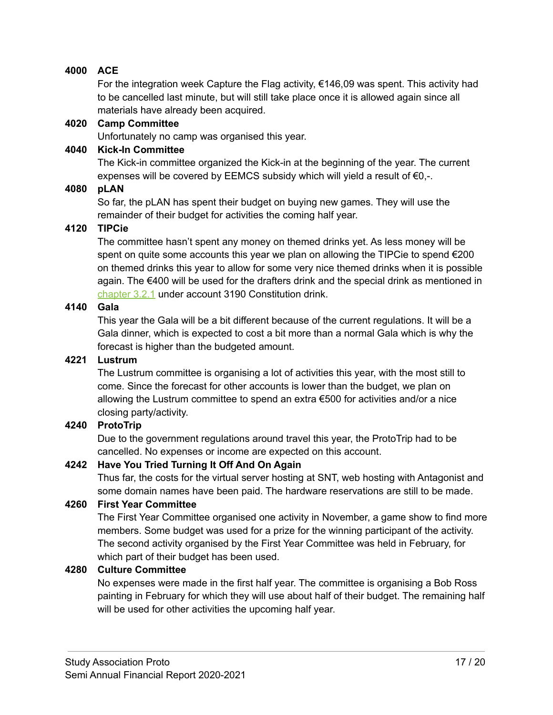#### **4000 ACE**

For the integration week Capture the Flag activity, €146,09 was spent. This activity had to be cancelled last minute, but will still take place once it is allowed again since all materials have already been acquired.

#### **4020 Camp Committee**

Unfortunately no camp was organised this year.

#### **4040 Kick-In Committee**

The Kick-in committee organized the Kick-in at the beginning of the year. The current expenses will be covered by EEMCS subsidy which will yield a result of  $\epsilon_{0,-}$ .

#### **4080 pLAN**

So far, the pLAN has spent their budget on buying new games. They will use the remainder of their budget for activities the coming half year.

#### **4120 TIPCie**

The committee hasn't spent any money on themed drinks yet. As less money will be spent on quite some accounts this year we plan on allowing the TIPCie to spend  $€200$ on themed drinks this year to allow for some very nice themed drinks when it is possible again. The €400 will be used for the drafters drink and the special drink as mentioned in [chapter](#page-11-1) 3.2.1 under account 3190 Constitution drink.

#### **4140 Gala**

This year the Gala will be a bit different because of the current regulations. It will be a Gala dinner, which is expected to cost a bit more than a normal Gala which is why the forecast is higher than the budgeted amount.

#### **4221 Lustrum**

The Lustrum committee is organising a lot of activities this year, with the most still to come. Since the forecast for other accounts is lower than the budget, we plan on allowing the Lustrum committee to spend an extra €500 for activities and/or a nice closing party/activity.

#### **4240 ProtoTrip**

Due to the government regulations around travel this year, the ProtoTrip had to be cancelled. No expenses or income are expected on this account.

#### **4242 Have You Tried Turning It Off And On Again**

Thus far, the costs for the virtual server hosting at SNT, web hosting with Antagonist and some domain names have been paid. The hardware reservations are still to be made.

#### **4260 First Year Committee**

The First Year Committee organised one activity in November, a game show to find more members. Some budget was used for a prize for the winning participant of the activity. The second activity organised by the First Year Committee was held in February, for which part of their budget has been used.

#### **4280 Culture Committee**

No expenses were made in the first half year. The committee is organising a Bob Ross painting in February for which they will use about half of their budget. The remaining half will be used for other activities the upcoming half year.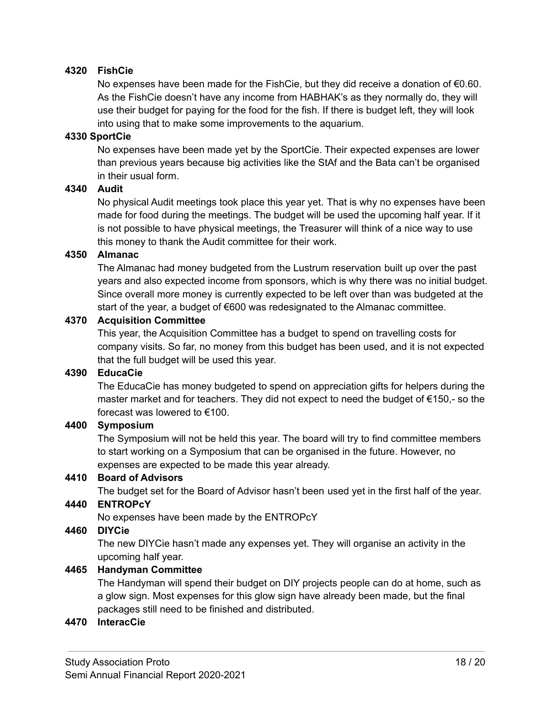#### **4320 FishCie**

No expenses have been made for the FishCie, but they did receive a donation of €0.60. As the FishCie doesn't have any income from HABHAK's as they normally do, they will use their budget for paying for the food for the fish. If there is budget left, they will look into using that to make some improvements to the aquarium.

#### **4330 SportCie**

No expenses have been made yet by the SportCie. Their expected expenses are lower than previous years because big activities like the StAf and the Bata can't be organised in their usual form.

#### **4340 Audit**

No physical Audit meetings took place this year yet. That is why no expenses have been made for food during the meetings. The budget will be used the upcoming half year. If it is not possible to have physical meetings, the Treasurer will think of a nice way to use this money to thank the Audit committee for their work.

#### **4350 Almanac**

The Almanac had money budgeted from the Lustrum reservation built up over the past years and also expected income from sponsors, which is why there was no initial budget. Since overall more money is currently expected to be left over than was budgeted at the start of the year, a budget of €600 was redesignated to the Almanac committee.

#### **4370 Acquisition Committee**

This year, the Acquisition Committee has a budget to spend on travelling costs for company visits. So far, no money from this budget has been used, and it is not expected that the full budget will be used this year.

#### **4390 EducaCie**

The EducaCie has money budgeted to spend on appreciation gifts for helpers during the master market and for teachers. They did not expect to need the budget of  $\epsilon$ 150,- so the forecast was lowered to €100.

#### **4400 Symposium**

The Symposium will not be held this year. The board will try to find committee members to start working on a Symposium that can be organised in the future. However, no expenses are expected to be made this year already.

#### **4410 Board of Advisors**

The budget set for the Board of Advisor hasn't been used yet in the first half of the year.

## **4440 ENTROPcY**

No expenses have been made by the ENTROPcY

#### **4460 DIYCie**

The new DIYCie hasn't made any expenses yet. They will organise an activity in the upcoming half year.

#### **4465 Handyman Committee**

The Handyman will spend their budget on DIY projects people can do at home, such as a glow sign. Most expenses for this glow sign have already been made, but the final packages still need to be finished and distributed.

#### **4470 InteracCie**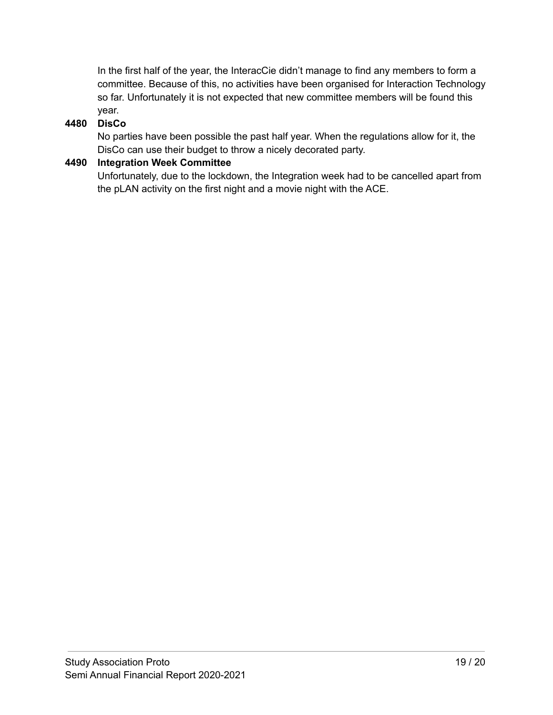In the first half of the year, the InteracCie didn't manage to find any members to form a committee. Because of this, no activities have been organised for Interaction Technology so far. Unfortunately it is not expected that new committee members will be found this year.

#### **4480 DisCo**

No parties have been possible the past half year. When the regulations allow for it, the DisCo can use their budget to throw a nicely decorated party.

#### **4490 Integration Week Committee**

Unfortunately, due to the lockdown, the Integration week had to be cancelled apart from the pLAN activity on the first night and a movie night with the ACE.